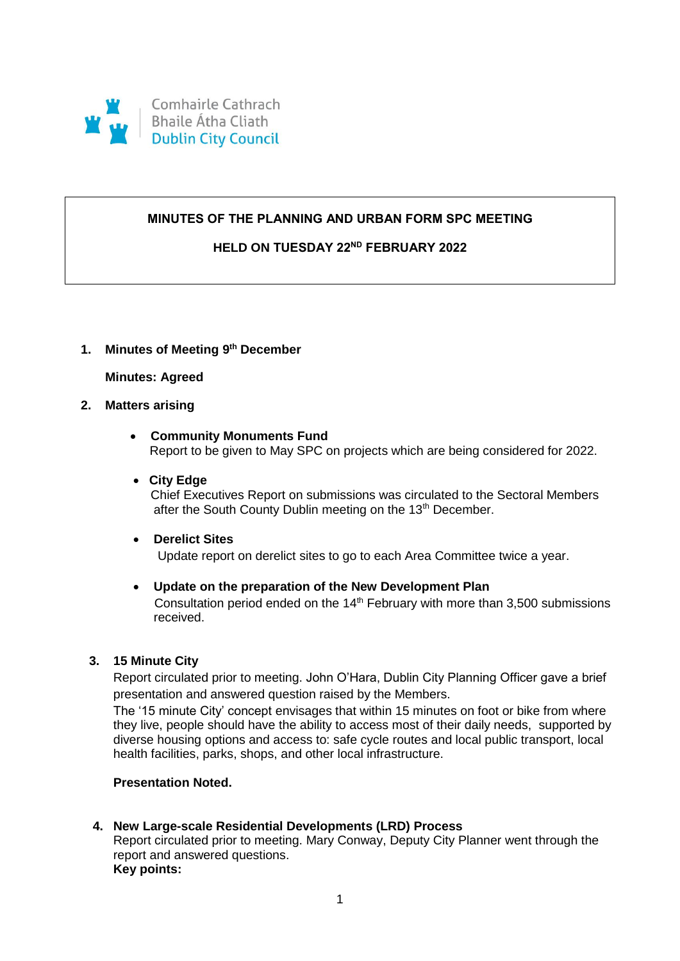

## **MINUTES OF THE PLANNING AND URBAN FORM SPC MEETING**

## **HELD ON TUESDAY 22ND FEBRUARY 2022**

## **1. Minutes of Meeting 9 th December**

### **Minutes: Agreed**

## **2. Matters arising**

- **Community Monuments Fund** Report to be given to May SPC on projects which are being considered for 2022.
- **City Edge**

Chief Executives Report on submissions was circulated to the Sectoral Members after the South County Dublin meeting on the 13<sup>th</sup> December.

**Derelict Sites**

Update report on derelict sites to go to each Area Committee twice a year.

#### **Update on the preparation of the New Development Plan**

Consultation period ended on the  $14<sup>th</sup>$  February with more than 3,500 submissions received.

#### **3. 15 Minute City**

Report circulated prior to meeting. John O'Hara, Dublin City Planning Officer gave a brief presentation and answered question raised by the Members.

The '15 minute City' concept envisages that within 15 minutes on foot or bike from where they live, people should have the ability to access most of their daily needs, supported by diverse housing options and access to: safe cycle routes and local public transport, local health facilities, parks, shops, and other local infrastructure.

### **Presentation Noted.**

#### **4. New Large-scale Residential Developments (LRD) Process**

Report circulated prior to meeting. Mary Conway, Deputy City Planner went through the report and answered questions. **Key points:**